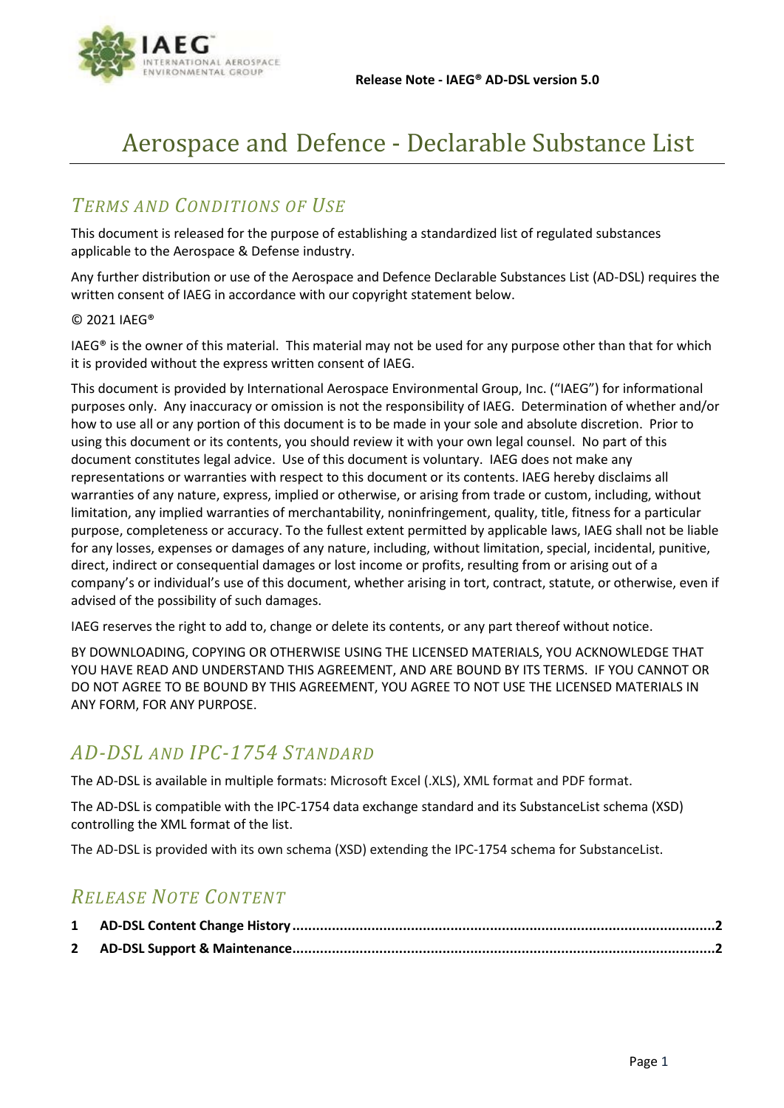

# Aerospace and Defence - Declarable Substance List

#### *TERMS AND CONDITIONS OF USE*

This document is released for the purpose of establishing a standardized list of regulated substances applicable to the Aerospace & Defense industry.

Any further distribution or use of the Aerospace and Defence Declarable Substances List (AD-DSL) requires the written consent of IAEG in accordance with our copyright statement below.

#### © 2021 IAEG®

IAEG® is the owner of this material. This material may not be used for any purpose other than that for which it is provided without the express written consent of IAEG.

This document is provided by International Aerospace Environmental Group, Inc. ("IAEG") for informational purposes only. Any inaccuracy or omission is not the responsibility of IAEG. Determination of whether and/or how to use all or any portion of this document is to be made in your sole and absolute discretion. Prior to using this document or its contents, you should review it with your own legal counsel. No part of this document constitutes legal advice. Use of this document is voluntary. IAEG does not make any representations or warranties with respect to this document or its contents. IAEG hereby disclaims all warranties of any nature, express, implied or otherwise, or arising from trade or custom, including, without limitation, any implied warranties of merchantability, noninfringement, quality, title, fitness for a particular purpose, completeness or accuracy. To the fullest extent permitted by applicable laws, IAEG shall not be liable for any losses, expenses or damages of any nature, including, without limitation, special, incidental, punitive, direct, indirect or consequential damages or lost income or profits, resulting from or arising out of a company's or individual's use of this document, whether arising in tort, contract, statute, or otherwise, even if advised of the possibility of such damages.

IAEG reserves the right to add to, change or delete its contents, or any part thereof without notice.

BY DOWNLOADING, COPYING OR OTHERWISE USING THE LICENSED MATERIALS, YOU ACKNOWLEDGE THAT YOU HAVE READ AND UNDERSTAND THIS AGREEMENT, AND ARE BOUND BY ITS TERMS. IF YOU CANNOT OR DO NOT AGREE TO BE BOUND BY THIS AGREEMENT, YOU AGREE TO NOT USE THE LICENSED MATERIALS IN ANY FORM, FOR ANY PURPOSE.

#### *AD-DSL AND IPC-1754 STANDARD*

The AD-DSL is available in multiple formats: Microsoft Excel (.XLS), XML format and PDF format.

The AD-DSL is compatible with the IPC-1754 data exchange standard and its SubstanceList schema (XSD) controlling the XML format of the list.

The AD-DSL is provided with its own schema (XSD) extending the IPC-1754 schema for SubstanceList.

#### *RELEASE NOTE CONTENT*